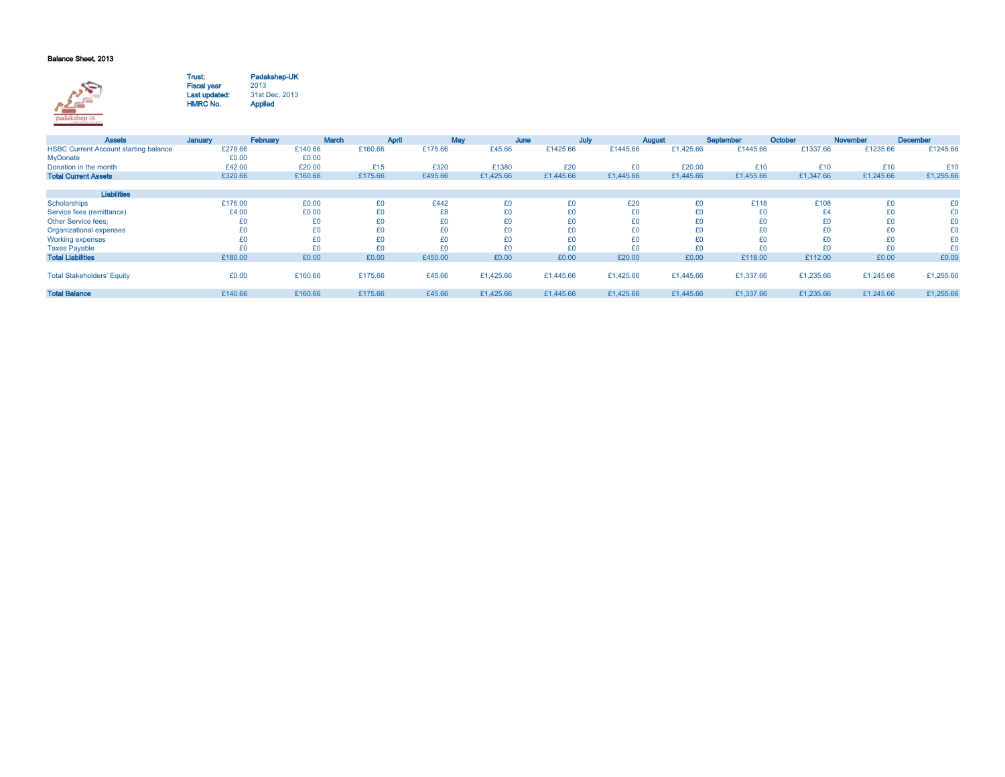## Balance Sheet, 2013



Trust:Fiscal year <sup>2013</sup>Last updated:HMRC No.Padakshep-UK<br>2013 31st Dec, 2013Applied

| <b>Assets</b>                                | January | February | <b>March</b> | April   | May       | June      | July      | August    | September | October   | November  | <b>December</b> |
|----------------------------------------------|---------|----------|--------------|---------|-----------|-----------|-----------|-----------|-----------|-----------|-----------|-----------------|
| <b>HSBC Current Account starting balance</b> | £278.66 | £140.66  | £160.66      | £175.66 | £45.66    | £1425.66  | £1445.66  | £1.425.66 | £1445.66  | £1337.66  | £1235.66  | £1245.66        |
| MyDonate                                     | £0.00   | £0.00    |              |         |           |           |           |           |           |           |           |                 |
| Donation in the month                        | £42.00  | £20.00   | £15          | £320    | £1380     | £20       | £0        | £20.00    | £10       | £10       | £10       | £10             |
| <b>Total Current Assets</b>                  | £320.66 | £160.66  | £175.66      | £495.66 | £1,425.66 | £1,445.66 | £1,445.66 | £1,445.66 | £1,455.66 | £1,347.66 | £1,245.66 | £1,255.66       |
|                                              |         |          |              |         |           |           |           |           |           |           |           |                 |
| Liabilities                                  |         |          |              |         |           |           |           |           |           |           |           |                 |
| Scholarships                                 | £176.00 | £0.00    | £0           | £442    | £0        | £0        | £20       | £0        | £118      | £108      | £0        | £0              |
| Service fees (remittance)                    | £4.00   | £0.00    | £0           | £8      | £0        | £0        | £0        | £0        | £0        | £4        | £0        | £0              |
| <b>Other Service fees:</b>                   | £0      | £0       | £0           | £0      | £0        | £0        | £0        | £0        | £0        | £0        | £0        | £0              |
| Organizational expenses                      | £0      | £0       | £0           | £0      | £0        | £0        | £0        | £0        | £0        | £0        | £0        | £0              |
| <b>Working expenses</b>                      | £0      | £0       | £0           | £0      | £0        | £0        | £0        | £0        | £0        | £0        | £0        | £0              |
| <b>Taxes Payable</b>                         | £0      | £0       | £0           | £0      | £0        | £0        | £0        | £0        | £0        | £0        | £0        | £0              |
| <b>Total Liabilities</b>                     | £180.00 | £0.00    | £0.00        | £450.00 | £0.00     | £0.00     | £20.00    | £0.00     | £118.00   | £112.00   | £0.00     | £0.00           |
|                                              |         |          |              |         |           |           |           |           |           |           |           |                 |
| <b>Total Stakeholders' Equity</b>            | £0.00   | £160.66  | £175.66      | £45.66  | £1,425.66 | £1,445.66 | £1,425.66 | £1,445.66 | £1,337.66 | £1,235.66 | £1,245.66 | £1,255.66       |
|                                              |         |          |              |         |           |           |           |           |           |           |           |                 |
| <b>Total Balance</b>                         | £140.66 | £160.66  | £175.66      | £45.66  | £1,425.66 | £1,445.66 | £1,425.66 | £1,445.66 | £1,337.66 | £1,235.66 | £1,245.66 | £1,255.66       |
|                                              |         |          |              |         |           |           |           |           |           |           |           |                 |